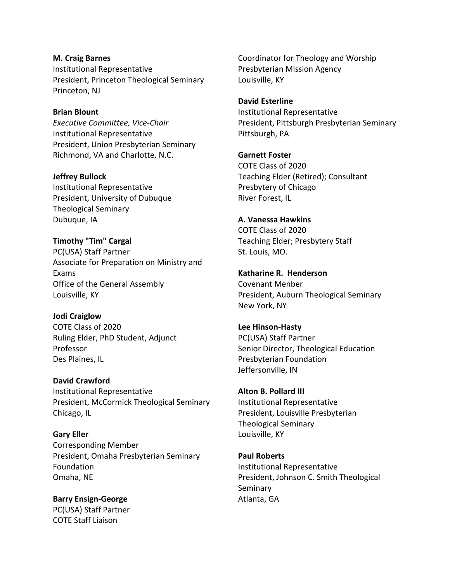**M. Craig Barnes** Institutional Representative President, Princeton Theological Seminary Princeton, NJ

#### **Brian Blount**

*Executive Committee, Vice-Chair* Institutional Representative President, Union Presbyterian Seminary Richmond, VA and Charlotte, N.C.

**Jeffrey Bullock**

Institutional Representative President, University of Dubuque Theological Seminary Dubuque, IA

**Timothy "Tim" Cargal** PC(USA) Staff Partner Associate for Preparation on Ministry and Exams Office of the General Assembly Louisville, KY

**Jodi Craiglow**

COTE Class of 2020 Ruling Elder, PhD Student, Adjunct Professor Des Plaines, IL

**David Crawford** Institutional Representative President, McCormick Theological Seminary Chicago, IL

**Gary Eller** Corresponding Member President, Omaha Presbyterian Seminary Foundation Omaha, NE

**Barry Ensign-George** PC(USA) Staff Partner COTE Staff Liaison

Coordinator for Theology and Worship Presbyterian Mission Agency Louisville, KY

#### **David Esterline**

Institutional Representative President, Pittsburgh Presbyterian Seminary Pittsburgh, PA

### **Garnett Foster**

COTE Class of 2020 Teaching Elder (Retired); Consultant Presbytery of Chicago River Forest, IL

## **A. Vanessa Hawkins**

COTE Class of 2020 Teaching Elder; Presbytery Staff St. Louis, MO.

### **Katharine R. Henderson**

Covenant Menber President, Auburn Theological Seminary New York, NY

### **Lee Hinson-Hasty** PC(USA) Staff Partner

Senior Director, Theological Education Presbyterian Foundation Jeffersonville, IN

# **Alton B. Pollard III** Institutional Representative President, Louisville Presbyterian Theological Seminary Louisville, KY

**Paul Roberts** Institutional Representative President, Johnson C. Smith Theological Seminary Atlanta, GA